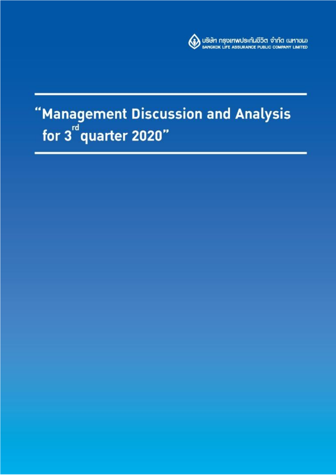

# "Management Discussion and Analysis<br>for 3<sup>rd</sup> quarter 2020"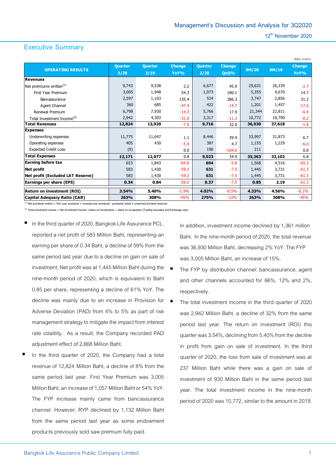# **Executive Summary**

|                                          |                |                |               |         |               |        |        | Baht, million |
|------------------------------------------|----------------|----------------|---------------|---------|---------------|--------|--------|---------------|
| <b>OPERATING RESULTS</b>                 | <b>Quarter</b> | <b>Quarter</b> | <b>Change</b> | Quarter | <b>Change</b> | 9M/20  | 9M/19  | <b>Change</b> |
|                                          | 3/20           | 3/19           | YoY%          | 2/20    | QoQ%          |        |        | YoY%          |
| <b>Revenues</b>                          |                |                |               |         |               |        |        |               |
| Net premiums written <sup>(1)</sup>      | 9,743          | 9,538          | 2.2           | 6,677   | 45.9          | 25,631 | 26,339 | $-2.7$        |
| First Year Premium                       | 3,005          | 1,948          | 54.3          | 1,073   | 180.1         | 5,355  | 4,670  | 14.7          |
| Bancassurance                            | 2,597          | 1,103          | 135.4         | 534     | 386.3         | 3,747  | 2,856  | 31.2          |
| Agent Channel                            | 360            | 685            | $-47.4$       | 422     | $-14.7$       | 1,201  | 1,457  | $-17.6$       |
| Renewal Premium                          | 6,798          | 7,930          | $-14.3$       | 5,766   | 17.9          | 21,344 | 22,811 | $-6.4$        |
| Total Investment Income <sup>(2)</sup>   | 2,942          | 4,303          | $-31.6$       | 3,317   | $-11.3$       | 10,772 | 10,790 | $-0.2$        |
| <b>Total Revenues</b>                    | 12,824         | 13,920         | $-7.9$        | 9,716   | 32.0          | 36,930 | 37,618 | $-1.8$        |
| <b>Expenses</b>                          |                |                |               |         |               |        |        |               |
| Underwriting expenses                    | 11,775         | 11,647         | 1.1           | 8,446   | 39.4          | 33,997 | 31,873 | 6.7           |
| Operating expenses                       | 405            | 430            | $-5.9$        | 387     | 4.7           | 1,155  | 1,229  | $-6.0$        |
| <b>Expected Credit Loss</b>              | (9)            |                | 0.0           | 190     | $-104.6$      | 211    |        | 0.0           |
| <b>Total Expenses</b>                    | 12,171         | 12,077         | 0.8           | 9,023   | 34.9          | 35,363 | 33,102 | 6.8           |
| <b>Earning before tax</b>                | 653            | 1,843          | $-64.6$       | 694     | $-5.8$        | 1,568  | 4,516  | $-65.3$       |
| <b>Net profit</b>                        | 583            | 1,430          | $-59.2$       | 631     | $-7.5$        | 1,445  | 3,731  | $-61.3$       |
| <b>Net profit (Excluded LAT Reserve)</b> | 583            | 1,430          | $-59.2$       | 631     | $-7.5$        | 1,445  | 3,731  | $-61.3$       |
| <b>Earnings per share (EPS)</b>          | 0.34           | 0.84           | $-59.2$       | 0.37    | $-7.5$        | 0.85   | 2.19   | $-61.3$       |
| <b>Return on investment (ROI)</b>        | 3.54%          | 5.40%          | $-1.9%$       | 4.02%   | $-0.5%$       | 4.33%  | 4.56%  | $-0.2%$       |
| Capital Adequacy Ratio (CAR)             | 263%           | 308%           | $-45%$        | 275%    | $-12%$        | 263%   | 308%   | $-45%$        |

 $<sup>(1)</sup>$  Net premiums written = first year premiums + renewal year premiums - premiums ceded  $\pm$  unearned premium reserves</sup>

 $^{(2)}$  Total investment income = Net investment income +Gains on investments + Gains on revaluation (Trading securities and Exchange rate)

- In the third quarter of 2020, Bangkok Life Assurance PCL. reported a net profit of 583 Million Baht, representing an earning per share of 0.34 Baht, a decline of 59% from the same period last year due to a decline on gain on sale of investment. Net profit was at 1,445 Million Baht during the nine-month period of 2020, which is equivalent to Baht 0.85 per share, representing a decline of 61% YoY. The decline was mainly due to an increase in Provision for Adverse Deviation (PAD) from 4% to 5% as part of risk management strategy to mitigate the impact from interest rate volatility. As a result, the Company recorded PAD adjustment effect of 2,668 Million Baht.
- In the third quarter of 2020, the Company had a total revenue of 12,824 Million Baht, a decline of 8% from the same period last year. First Year Premium was 3,005 Million Baht, an increase of 1,057 Million Baht or 54% YoY. The FYP increase mainly came from bancassurance channel. However, RYP declined by 1,132 Million Baht from the same period last year as some endowment products previously sold saw premium fully paid.

In addition, investment income declined by 1,361 million Baht. In the nine-month period of 2020, the total revenue was 36,930 Million Baht, decreasing 2% YoY. The FYP was 3,005 Million Baht, an increase of 15%.

- The FYP by distribution channel: bancassurance, agent and other channels accounted for 86%, 12% and 2%, respectively.
- The total investment income in the third quarter of 2020 was 2,942 Million Baht, a decline of 32% from the same period last year. The return on investment (ROI) this quarter was 3.54%, declining from 5.40%from the decline in profit from gain on sale of investment. In the third quarter of 2020, the loss from sale of investment was at 237 Million Baht while there was a gain on sale of investment of 930 Million Baht in the same period last year. The total investment income in the nine-month period of 2020 was 10,772, similar to the amount in 2019.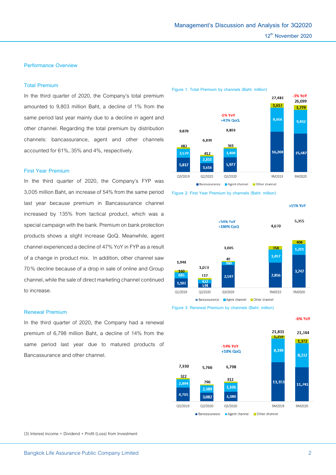# **Performance Overview**

# **Total Premium**

In the third quarter of 2020, the Company's total premium amounted to 9,803 million Baht, a decline of 1% from the same period last year mainly due to a decline in agent and other channel. Regarding the total premium by distribution channels: bancassurance, agent and other channels accounted for 61%, 35% and 4%, respectively.

## **First Year Premium**

In the third quarter of 2020, the Company's FYP was 3,005 million Baht, an increase of 54% from the same period last year because premium in Bancassurance channel increased by 135% from tactical product, which was a special campaign with the bank. Premium on bank protection products shows a slight increase QoQ. Meanwhile, agent channel experienced a decline of 47% YoY in FYP as a result of a change in product mix. In addition, other channel saw 70% decline because of a drop in sale of online and Group channel, while the sale of direct marketing channel continued to increase.

## **Renewal Premium**

In the third quarter of 2020, the Company had a renewal premium of 6,798 million Baht, a decline of 14% from the same period last year due to matured products of Bancassurance and other channel.



#### **Figure 1: Total Premium by channels (Baht: million)**





**Figure 3: Renewal Premium by channels (Baht: million)**



(3) Interest income + Dividend + Profit (Loss) from Investment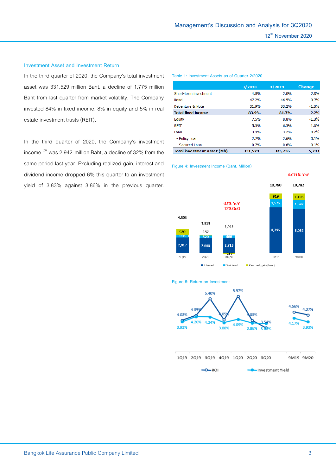# **Investment Asset and Investment Return**

In the third quarter of 2020, the Company's total investment asset was 331,529 million Baht, a decline of 1,775 million Baht from last quarter from market volatility. The Company invested 84% in fixed income, 8% in equity and 5% in real estate investment trusts (REIT).

In the third quarter of 2020, the Company's investment income  $^{(3)}$  was 2,942 million Baht, a decline of 32% from the same period last year. Excluding realized gain, interest and dividend income dropped 6% this quarter to an investment yield of 3.83% against 3.86% in the previous quarter.

#### **Table 1: Investment Assets as of Quarter 2/2020**

|                                    | 3/2020  | 4/2019  | <b>Change</b> |
|------------------------------------|---------|---------|---------------|
| Short-term investment              | 4.8%    | 2.0%    | 2.8%          |
| <b>Bond</b>                        | 47.2%   | 46.5%   | 0.7%          |
| Debenture & Note                   | 31.9%   | 33.2%   | $-1.3%$       |
| <b>Total fixed income</b>          | 83.9%   | 81.7%   | 2.2%          |
| Equity                             | 7.5%    | 8.8%    | $-1.3%$       |
| REIT                               | 5.3%    | 6.3%    | $-1.0%$       |
| Loan                               | 3.4%    | 3.2%    | 0.2%          |
| - Policy Loan                      | 2.7%    | 2.6%    | 0.1%          |
| - Secured Loan                     | 0.7%    | 0.6%    | 0.1%          |
| <b>Total investment asset (Mb)</b> | 331,529 | 325,736 | 5.793         |

**Figure 4: Investment Income (Baht, Million)**



#### **Figure 5: Return on Investment**

 $-0 - RO$ 



- Investment Yield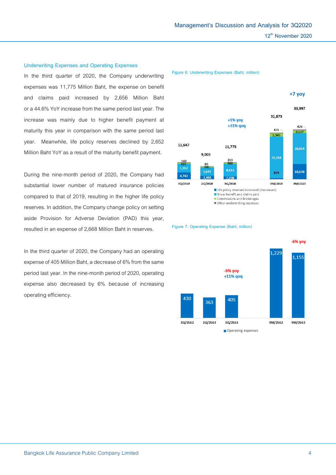# **Underwriting Expenses and Operating Expenses**

In the third quarter of 2020, the Company underwriting expenses was 11,775 Million Baht, the expense on benefit and claims paid increased by 2,656 Million Baht or a 44.6% YoY increase from the same period last year. The increase was mainly due to higher benefit payment at maturity this year in comparison with the same period last year. Meanwhile, life policy reserves declined by 2,652 Million Baht YoY as a result of the maturity benefit payment.

During the nine-month period of 2020, the Company had substantial lower number of matured insurance policies compared to that of 2019, resulting in the higher life policy reserves. In addition, the Company change policy on setting aside Provision for Adverse Deviation (PAD) this year, resulted in an expense of 2,668 Million Baht in reserves.

In the third quarter of 2020, the Company had an operating expense of 405 Million Baht, a decrease of 6% from the same period last year. In the nine-month period of 2020, operating expense also decreased by 6% because of increasing operating efficiency.

**Figure 6: Underwriting Expenses (Baht, million)**





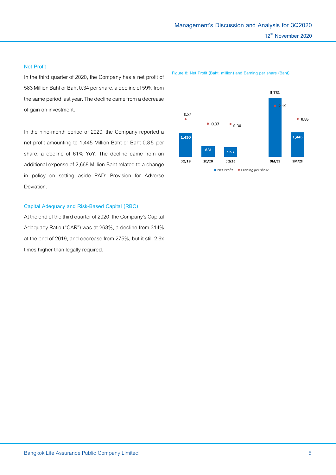## **Net Profit**

In the third quarter of 2020, the Company has a net profit of 583 Million Baht or Baht 0.34 per share, a decline of 59% from the same period last year. The decline came from a decrease of gain on investment.

In the nine-month period of 2020, the Company reported a net profit amounting to 1,445 Million Baht or Baht 0.8 5 per share, a decline of 61% YoY. The decline came from an additional expense of 2,668 Million Baht related to a change in policy on setting aside PAD: Provision for Adverse Deviation.

## **Capital Adequacy and Risk-Based Capital (RBC)**

At the end of the third quarter of 2020, the Company's Capital Adequacy Ratio ("CAR") was at 263%, a decline from 314% at the end of 2019, and decrease from 275%, but it still 2.6x times higher than legally required.

**Figure 8: Net Profit (Baht, million) and Earning per share (Baht)**

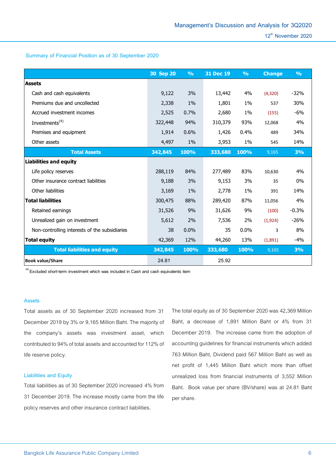# **Summary of Financial Position as of 30 September 2020**

|                                               | 30 Sep 20 | $\frac{9}{6}$ | 31 Dec 19 | $\frac{0}{0}$ | <b>Change</b> | $\frac{9}{6}$ |
|-----------------------------------------------|-----------|---------------|-----------|---------------|---------------|---------------|
| <b>Assets</b>                                 |           |               |           |               |               |               |
| Cash and cash equivalents                     | 9,122     | 3%            | 13,442    | 4%            | (4,320)       | $-32%$        |
| Premiums due and uncollected                  | 2,338     | $1\%$         | 1,801     | 1%            | 537           | 30%           |
| Accrued investment incomes                    | 2,525     | 0.7%          | 2,680     | 1%            | (155)         | $-6%$         |
| Investments <sup>(4)</sup>                    | 322,448   | 94%           | 310,379   | 93%           | 12,068        | 4%            |
| Premises and equipment                        | 1,914     | 0.6%          | 1,426     | 0.4%          | 489           | 34%           |
| Other assets                                  | 4,497     | $1\%$         | 3,953     | 1%            | 545           | 14%           |
| <b>Total Assets</b>                           | 342,845   | 100%          | 333,680   | 100%          | 9,165         | 3%            |
| <b>Liabilities and equity</b>                 |           |               |           |               |               |               |
| Life policy reserves                          | 288,119   | 84%           | 277,489   | 83%           | 10,630        | 4%            |
| Other insurance contract liabilities          | 9,188     | 3%            | 9,153     | 3%            | 35            | 0%            |
| Other liabilities                             | 3,169     | $1\%$         | 2,778     | $1\%$         | 391           | 14%           |
| <b>Total liabilities</b>                      | 300,475   | 88%           | 289,420   | 87%           | 11,056        | 4%            |
| Retained earnings                             | 31,526    | 9%            | 31,626    | 9%            | (100)         | $-0.3%$       |
| Unrealized gain on investment                 | 5,612     | 2%            | 7,536     | 2%            | (1,924)       | $-26%$        |
| Non-controlling interests of the subsidiaries | 38        | 0.0%          | 35        | 0.0%          | 3             | 8%            |
| Total equity                                  | 42,369    | 12%           | 44,260    | 13%           | (1,891)       | $-4%$         |
| <b>Total liabilities and equity</b>           | 342,845   | 100%          | 333,680   | 100%          | 9,165         | 3%            |
| <b>Book value/Share</b>                       | 24.81     |               | 25.92     |               |               |               |

 **(4) Excluded short-term investment which was included in Cash and cash equivalents item**

## **Assets**

Total assets as of 30 September 2020 increased from 31 December2019 by 3% or 9,165 Million Baht. The majority of the company's assets was investment asset, which contributed to 94% of total assets and accounted for 112% of life reserve policy.

## **Liabilities and Equity**

Total liabilities as of 30 September 2020 increased 4% from 31 December 2019. The increase mostly came from the life policy reserves and other insurance contract liabilities.

The total equity as of 30 September 2020 was 42,369 Million Baht, a decrease of 1,891 Million Baht or 4% from 31 December 2019. The increase came from the adoption of accounting guidelines for financial instruments which added 763 Million Baht, Dividend paid 567 Million Baht as well as net profit of 1,445 Million Baht which more than offset unrealized loss from financial instruments of 3,552 Million Baht. Book value per share (BV/share) was at 24.81 Baht per share.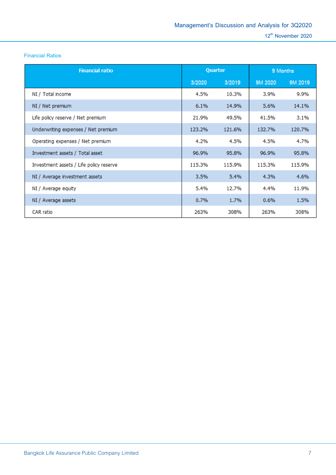**Financial Ratios**

| <b>Financial ratio</b>                  | Quarter |        | 9 Months |         |
|-----------------------------------------|---------|--------|----------|---------|
|                                         | 3/2020  | 3/2019 | 9M 2020  | 9M 2019 |
| NI / Total income                       | 4.5%    | 10.3%  | 3.9%     | 9.9%    |
| NI / Net premium                        | 6.1%    | 14.9%  | 5.6%     | 14.1%   |
| Life policy reserve / Net premium       | 21.9%   | 49.5%  | 41.5%    | 3.1%    |
| Underwriting expenses / Net premium     | 123.2%  | 121.6% | 132.7%   | 120.7%  |
| Operating expenses / Net premium        | 4.2%    | 4.5%   | 4.5%     | 4.7%    |
| Investment assets / Total asset         | 96.9%   | 95.8%  | 96.9%    | 95.8%   |
| Investment assets / Life policy reserve | 115.3%  | 115.9% | 115.3%   | 115.9%  |
| NI / Average investment assets          | 3.5%    | 5.4%   | 4.3%     | 4.6%    |
| NI / Average equity                     | 5.4%    | 12.7%  | 4.4%     | 11.9%   |
| NI / Average assets                     | 0.7%    | 1.7%   | 0.6%     | 1.5%    |
| CAR ratio                               | 263%    | 308%   | 263%     | 308%    |